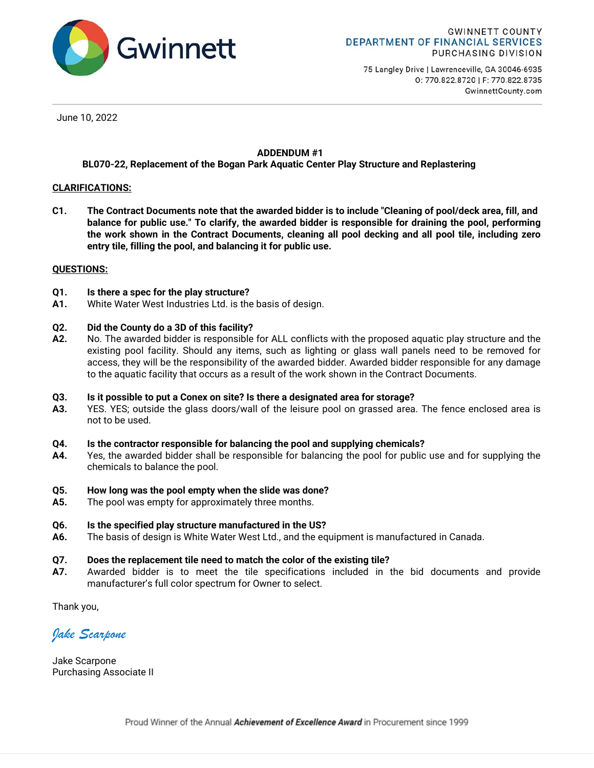

75 Langley Drive | Lawrenceville, GA 30046-6935 0: 770.822.8720 | F: 770.822.8735 GwinnettCounty.com

June 10, 2022

## ADDENDUM #1

## BL070-22, Replacement of the Bogan Park Aquatic Center Play Structure and Replastering

## CLARIFICATIONS:

 C1. The Contract Documents note that the awarded bidder is to include "Cleaning of pool/deck area, fill, and balance for public use." To clarify, the awarded bidder is responsible for draining the pool, performing the work shown in the Contract Documents, cleaning all pool decking and all pool tile, including zero entry tile, filling the pool, and balancing it for public use.

## QUESTIONS:

- Q1. Is there a spec for the play structure?
- A1. White Water West Industries Ltd. is the basis of design.

## Q2. Did the County do a 3D of this facility?

A2. No. The awarded bidder is responsible for ALL conflicts with the proposed aquatic play structure and the existing pool facility. Should any items, such as lighting or glass wall panels need to be removed for access, they will be the responsibility of the awarded bidder. Awarded bidder responsible for any damage to the aquatic facility that occurs as a result of the work shown in the Contract Documents.

## Q3. Is it possible to put a Conex on site? Is there a designated area for storage?

A3. YES. YES; outside the glass doors/wall of the leisure pool on grassed area. The fence enclosed area is not to be used.

#### Q4. Is the contractor responsible for balancing the pool and supplying chemicals?

A4. Yes, the awarded bidder shall be responsible for balancing the pool for public use and for supplying the chemicals to balance the pool.

## Q5. How long was the pool empty when the slide was done?

- A5. The pool was empty for approximately three months.
- Q6. Is the specified play structure manufactured in the US?
- A6. The basis of design is White Water West Ltd., and the equipment is manufactured in Canada.

#### Q7. Does the replacement tile need to match the color of the existing tile?

A7. Awarded bidder is to meet the tile specifications included in the bid documents and provide manufacturer's full color spectrum for Owner to select.

Thank you,

Jake Scarpone

Jake Scarpone Purchasing Associate II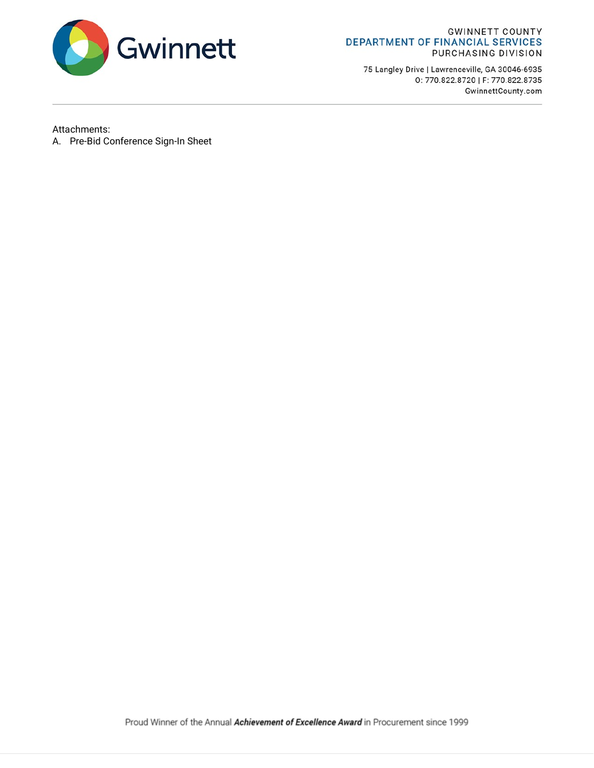

#### **GWINNETT COUNTY** DEPARTMENT OF FINANCIAL SERVICES PURCHASING DIVISION

75 Langley Drive | Lawrenceville, GA 30046-6935 0: 770.822.8720 | F: 770.822.8735 GwinnettCounty.com

# Attachments:

A. Pre-Bid Conference Sign-In Sheet